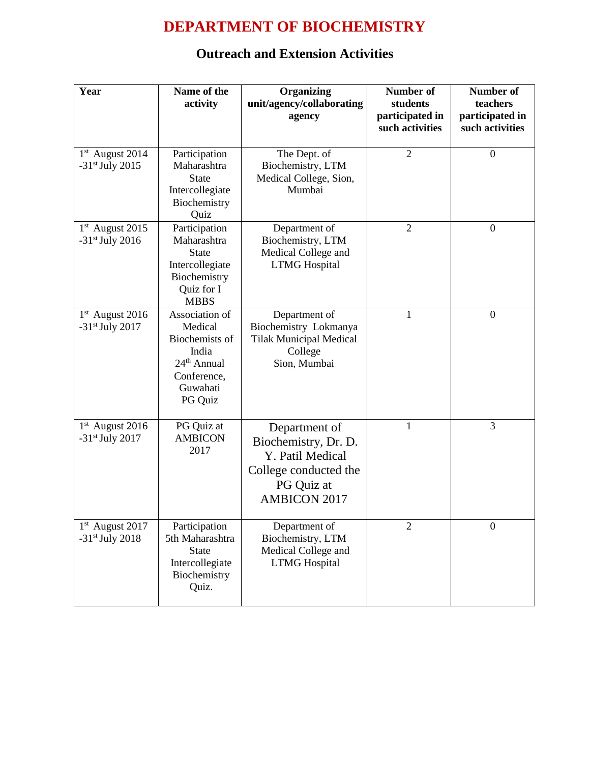## **DEPARTMENT OF BIOCHEMISTRY**

## **Outreach and Extension Activities**

| Year                                                         | Name of the<br>activity                                                                                               | Organizing<br>unit/agency/collaborating<br>agency                                                                       | <b>Number of</b><br>students<br>participated in<br>such activities | <b>Number of</b><br>teachers<br>participated in<br>such activities |
|--------------------------------------------------------------|-----------------------------------------------------------------------------------------------------------------------|-------------------------------------------------------------------------------------------------------------------------|--------------------------------------------------------------------|--------------------------------------------------------------------|
| 1 <sup>st</sup> August 2014<br>$-31$ <sup>st</sup> July 2015 | Participation<br>Maharashtra<br><b>State</b><br>Intercollegiate<br>Biochemistry<br>Quiz                               | The Dept. of<br>Biochemistry, LTM<br>Medical College, Sion,<br>Mumbai                                                   | $\mathfrak{2}$                                                     | $\boldsymbol{0}$                                                   |
| $1st$ August 2015<br>$-31$ <sup>st</sup> July 2016           | Participation<br>Maharashtra<br><b>State</b><br>Intercollegiate<br>Biochemistry<br>Quiz for I<br><b>MBBS</b>          | Department of<br>Biochemistry, LTM<br>Medical College and<br><b>LTMG</b> Hospital                                       | $\overline{2}$                                                     | $\boldsymbol{0}$                                                   |
| 1 <sup>st</sup> August 2016<br>$-31$ <sup>st</sup> July 2017 | Association of<br>Medical<br>Biochemists of<br>India<br>24 <sup>th</sup> Annual<br>Conference,<br>Guwahati<br>PG Quiz | Department of<br>Biochemistry Lokmanya<br><b>Tilak Municipal Medical</b><br>College<br>Sion, Mumbai                     | 1                                                                  | $\boldsymbol{0}$                                                   |
| $1st$ August 2016<br>$-31$ <sup>st</sup> July 2017           | PG Quiz at<br><b>AMBICON</b><br>2017                                                                                  | Department of<br>Biochemistry, Dr. D.<br>Y. Patil Medical<br>College conducted the<br>PG Quiz at<br><b>AMBICON 2017</b> | $\mathbf{1}$                                                       | 3                                                                  |
| 1st August 2017<br>$-31$ <sup>st</sup> July 2018             | Participation<br>5th Maharashtra<br><b>State</b><br>Intercollegiate<br>Biochemistry<br>Quiz.                          | Department of<br>Biochemistry, LTM<br>Medical College and<br><b>LTMG</b> Hospital                                       | $\overline{2}$                                                     | $\boldsymbol{0}$                                                   |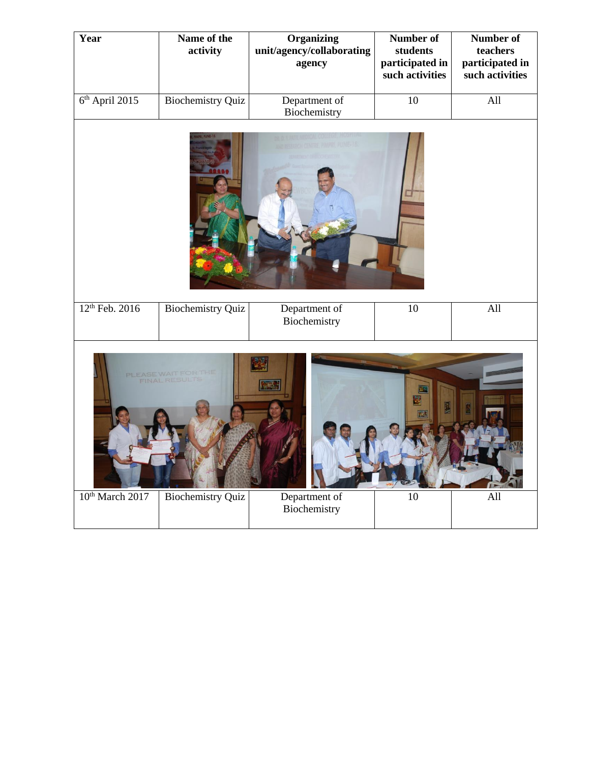|                                                                                                                                                                  |                          |                               | such activities | participated in<br>such activities |  |
|------------------------------------------------------------------------------------------------------------------------------------------------------------------|--------------------------|-------------------------------|-----------------|------------------------------------|--|
| 6 <sup>th</sup> April 2015                                                                                                                                       | <b>Biochemistry Quiz</b> | Department of<br>Biochemistry | 10              | All                                |  |
|                                                                                                                                                                  |                          |                               |                 |                                    |  |
| 12 <sup>th</sup> Feb. 2016                                                                                                                                       | <b>Biochemistry Quiz</b> | Department of<br>Biochemistry | $\overline{10}$ | All                                |  |
| PLEASE WAIT FOR THE<br><b>FINAL RESULT</b><br>10 <sup>th</sup> March 2017<br><b>Biochemistry Quiz</b><br>Department of<br>$\overline{10}$<br>All<br>Biochemistry |                          |                               |                 |                                    |  |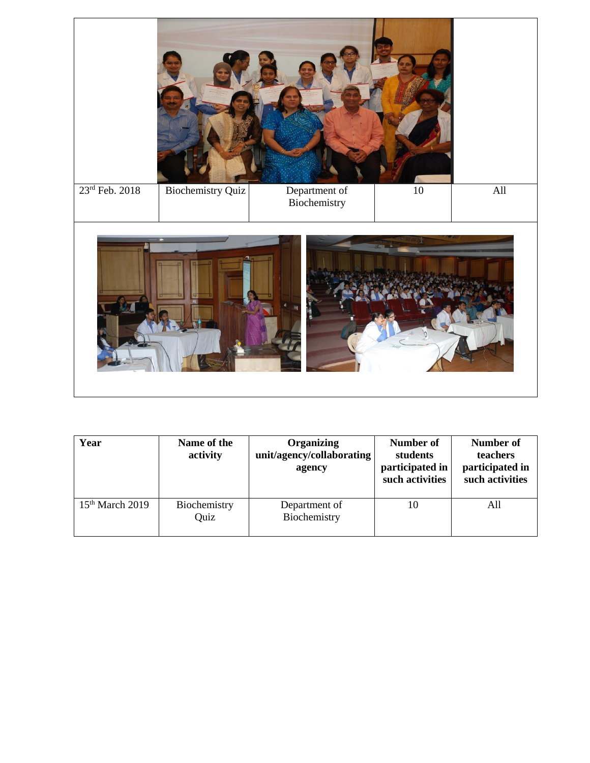

| Year              | Name of the<br>activity | Organizing<br>unit/agency/collaborating<br>agency | Number of<br>students<br>participated in<br>such activities | <b>Number of</b><br>teachers<br>participated in<br>such activities |
|-------------------|-------------------------|---------------------------------------------------|-------------------------------------------------------------|--------------------------------------------------------------------|
| $15th$ March 2019 | Biochemistry<br>Quiz    | Department of<br>Biochemistry                     | 10                                                          | All                                                                |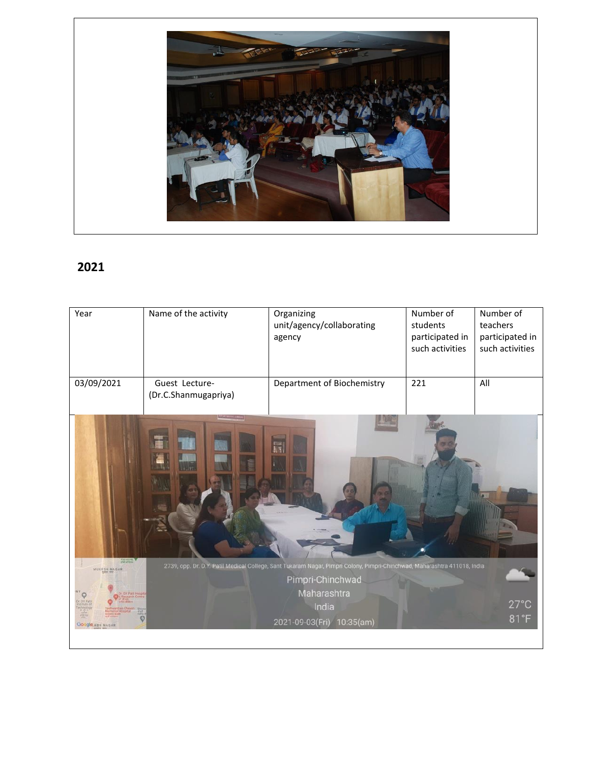

## **2021**

| Year                                                               | Name of the activity                   | Organizing<br>unit/agency/collaborating<br>agency                                                                                                                                                  | Number of<br>students<br>participated in<br>such activities | Number of<br>teachers<br>participated in<br>such activities |
|--------------------------------------------------------------------|----------------------------------------|----------------------------------------------------------------------------------------------------------------------------------------------------------------------------------------------------|-------------------------------------------------------------|-------------------------------------------------------------|
| 03/09/2021                                                         | Guest Lecture-<br>(Dr.C.Shanmugapriya) | Department of Biochemistry                                                                                                                                                                         | 221                                                         | All                                                         |
| <b>COMMENT</b><br>MUKESH NAGAR<br>DY Pa<br><b>Google ABH NAGAR</b> |                                        | 2739, opp. Dr. D.Y. Patil Medical College, Sant Tukaram Nagar, Pimpri Colony, Pimpri-Chinchwad, Maharashtra 411018, India<br>Pimpri-Chinchwad<br>Maharashtra<br>India<br>2021-09-03(Fri) 10:35(am) |                                                             | $27^{\circ}$ C<br>81°F                                      |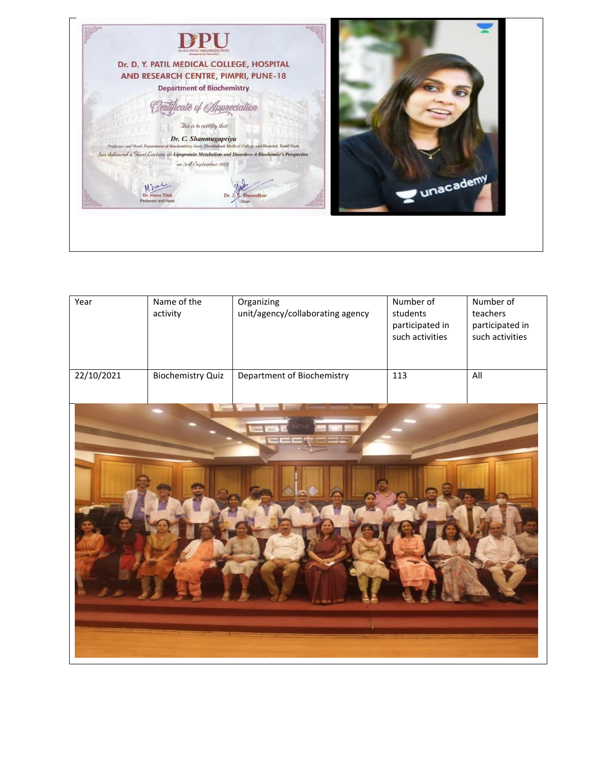

| Year       | Name of the<br>activity  | Organizing<br>unit/agency/collaborating agency | Number of<br>students<br>participated in<br>such activities | Number of<br>teachers<br>participated in<br>such activities |
|------------|--------------------------|------------------------------------------------|-------------------------------------------------------------|-------------------------------------------------------------|
| 22/10/2021 | <b>Biochemistry Quiz</b> | Department of Biochemistry                     | 113                                                         | All                                                         |
|            |                          |                                                |                                                             |                                                             |